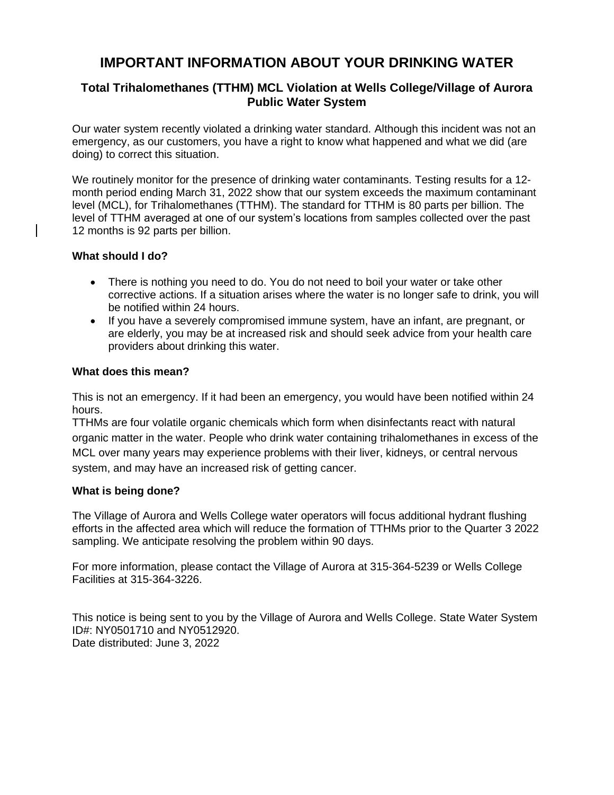# **IMPORTANT INFORMATION ABOUT YOUR DRINKING WATER**

# **Total Trihalomethanes (TTHM) MCL Violation at Wells College/Village of Aurora Public Water System**

Our water system recently violated a drinking water standard. Although this incident was not an emergency, as our customers, you have a right to know what happened and what we did (are doing) to correct this situation.

We routinely monitor for the presence of drinking water contaminants. Testing results for a 12 month period ending March 31, 2022 show that our system exceeds the maximum contaminant level (MCL), for Trihalomethanes (TTHM). The standard for TTHM is 80 parts per billion. The level of TTHM averaged at one of our system's locations from samples collected over the past 12 months is 92 parts per billion.

## **What should I do?**

- There is nothing you need to do. You do not need to boil your water or take other corrective actions. If a situation arises where the water is no longer safe to drink, you will be notified within 24 hours.
- If you have a severely compromised immune system, have an infant, are pregnant, or are elderly, you may be at increased risk and should seek advice from your health care providers about drinking this water.

### **What does this mean?**

This is not an emergency. If it had been an emergency, you would have been notified within 24 hours.

TTHMs are four volatile organic chemicals which form when disinfectants react with natural organic matter in the water. People who drink water containing trihalomethanes in excess of the MCL over many years may experience problems with their liver, kidneys, or central nervous system, and may have an increased risk of getting cancer.

### **What is being done?**

The Village of Aurora and Wells College water operators will focus additional hydrant flushing efforts in the affected area which will reduce the formation of TTHMs prior to the Quarter 3 2022 sampling. We anticipate resolving the problem within 90 days.

For more information, please contact the Village of Aurora at 315-364-5239 or Wells College Facilities at 315-364-3226.

This notice is being sent to you by the Village of Aurora and Wells College. State Water System ID#: NY0501710 and NY0512920. Date distributed: June 3, 2022